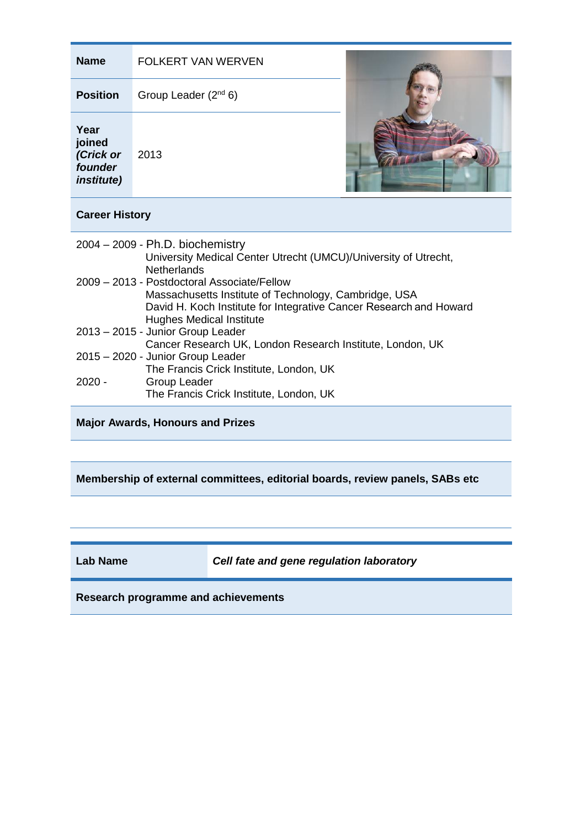| <b>Name</b>                                                                                                                                                                                                                                                                                                                                                                                                                                                                                                                                                                                           | FOLKERT VAN WERVEN        |
|-------------------------------------------------------------------------------------------------------------------------------------------------------------------------------------------------------------------------------------------------------------------------------------------------------------------------------------------------------------------------------------------------------------------------------------------------------------------------------------------------------------------------------------------------------------------------------------------------------|---------------------------|
| <b>Position</b>                                                                                                                                                                                                                                                                                                                                                                                                                                                                                                                                                                                       | Group Leader $(2^{nd} 6)$ |
| Year<br>joined<br>(Crick or<br>founder<br><i>institute)</i>                                                                                                                                                                                                                                                                                                                                                                                                                                                                                                                                           | 2013                      |
| <b>Career History</b>                                                                                                                                                                                                                                                                                                                                                                                                                                                                                                                                                                                 |                           |
| $2004 - 2009 - Ph.D. biochemistry$<br>University Medical Center Utrecht (UMCU)/University of Utrecht,<br><b>Netherlands</b><br>2009 - 2013 - Postdoctoral Associate/Fellow<br>Massachusetts Institute of Technology, Cambridge, USA<br>David H. Koch Institute for Integrative Cancer Research and Howard<br><b>Hughes Medical Institute</b><br>2013 - 2015 - Junior Group Leader<br>Cancer Research UK, London Research Institute, London, UK<br>2015 - 2020 - Junior Group Leader<br>The Francis Crick Institute, London, UK<br>$2020 -$<br>Group Leader<br>The Francis Crick Institute, London, UK |                           |
| <b>Major Awards, Honours and Prizes</b>                                                                                                                                                                                                                                                                                                                                                                                                                                                                                                                                                               |                           |

**Membership of external committees, editorial boards, review panels, SABs etc**

**Lab Name** *Cell fate and gene regulation laboratory*

**Research programme and achievements**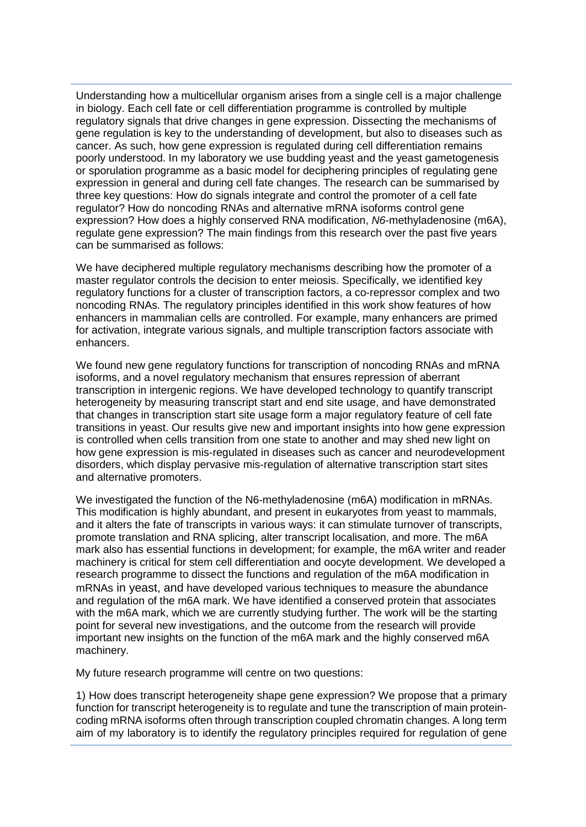Understanding how a multicellular organism arises from a single cell is a major challenge in biology. Each cell fate or cell differentiation programme is controlled by multiple regulatory signals that drive changes in gene expression. Dissecting the mechanisms of gene regulation is key to the understanding of development, but also to diseases such as cancer. As such, how gene expression is regulated during cell differentiation remains poorly understood. In my laboratory we use budding yeast and the yeast gametogenesis or sporulation programme as a basic model for deciphering principles of regulating gene expression in general and during cell fate changes. The research can be summarised by three key questions: How do signals integrate and control the promoter of a cell fate regulator? How do noncoding RNAs and alternative mRNA isoforms control gene expression? How does a highly conserved RNA modification, *N6*-methyladenosine (m6A), regulate gene expression? The main findings from this research over the past five years can be summarised as follows:

We have deciphered multiple regulatory mechanisms describing how the promoter of a master regulator controls the decision to enter meiosis. Specifically, we identified key regulatory functions for a cluster of transcription factors, a co-repressor complex and two noncoding RNAs. The regulatory principles identified in this work show features of how enhancers in mammalian cells are controlled. For example, many enhancers are primed for activation, integrate various signals, and multiple transcription factors associate with enhancers.

We found new gene regulatory functions for transcription of noncoding RNAs and mRNA isoforms, and a novel regulatory mechanism that ensures repression of aberrant transcription in intergenic regions. We have developed technology to quantify transcript heterogeneity by measuring transcript start and end site usage, and have demonstrated that changes in transcription start site usage form a major regulatory feature of cell fate transitions in yeast. Our results give new and important insights into how gene expression is controlled when cells transition from one state to another and may shed new light on how gene expression is mis-regulated in diseases such as cancer and neurodevelopment disorders, which display pervasive mis-regulation of alternative transcription start sites and alternative promoters.

We investigated the function of the N6-methyladenosine (m6A) modification in mRNAs. This modification is highly abundant, and present in eukaryotes from yeast to mammals, and it alters the fate of transcripts in various ways: it can stimulate turnover of transcripts, promote translation and RNA splicing, alter transcript localisation, and more. The m6A mark also has essential functions in development; for example, the m6A writer and reader machinery is critical for stem cell differentiation and oocyte development. We developed a research programme to dissect the functions and regulation of the m6A modification in mRNAs in yeast, and have developed various techniques to measure the abundance and regulation of the m6A mark. We have identified a conserved protein that associates with the m6A mark, which we are currently studying further. The work will be the starting point for several new investigations, and the outcome from the research will provide important new insights on the function of the m6A mark and the highly conserved m6A machinery.

My future research programme will centre on two questions:

1) How does transcript heterogeneity shape gene expression? We propose that a primary function for transcript heterogeneity is to regulate and tune the transcription of main proteincoding mRNA isoforms often through transcription coupled chromatin changes. A long term aim of my laboratory is to identify the regulatory principles required for regulation of gene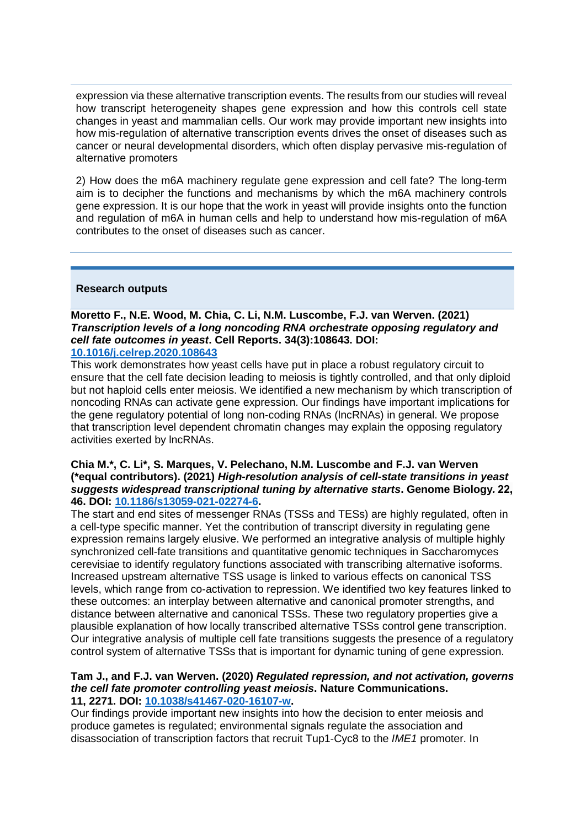expression via these alternative transcription events. The results from our studies will reveal how transcript heterogeneity shapes gene expression and how this controls cell state changes in yeast and mammalian cells. Our work may provide important new insights into how mis-regulation of alternative transcription events drives the onset of diseases such as cancer or neural developmental disorders, which often display pervasive mis-regulation of alternative promoters

2) How does the m6A machinery regulate gene expression and cell fate? The long-term aim is to decipher the functions and mechanisms by which the m6A machinery controls gene expression. It is our hope that the work in yeast will provide insights onto the function and regulation of m6A in human cells and help to understand how mis-regulation of m6A contributes to the onset of diseases such as cancer.

# **Research outputs**

**Moretto F., N.E. Wood, M. Chia, C. Li, N.M. Luscombe, F.J. van Werven. (2021)**  *Transcription levels of a long noncoding RNA orchestrate opposing regulatory and cell fate outcomes in yeast***. Cell Reports. 34(3):108643. DOI: [10.1016/j.celrep.2020.108643](https://doi.org/10.1016/j.celrep.2020.108643)**

This work demonstrates how yeast cells have put in place a robust regulatory circuit to ensure that the cell fate decision leading to meiosis is tightly controlled, and that only diploid but not haploid cells enter meiosis. We identified a new mechanism by which transcription of noncoding RNAs can activate gene expression. Our findings have important implications for the gene regulatory potential of long non-coding RNAs (lncRNAs) in general. We propose that transcription level dependent chromatin changes may explain the opposing regulatory activities exerted by lncRNAs.

### **Chia M.\*, C. Li\*, S. Marques, V. Pelechano, N.M. Luscombe and F.J. van Werven (\*equal contributors). (2021)** *High-resolution analysis of cell-state transitions in yeast suggests widespread transcriptional tuning by alternative starts***. Genome Biology***.***22, 46. DOI: [10.1186/s13059-021-02274-6.](https://doi.org/10.1186/s13059-021-02274-6)**

The start and end sites of messenger RNAs (TSSs and TESs) are highly regulated, often in a cell-type specific manner. Yet the contribution of transcript diversity in regulating gene expression remains largely elusive. We performed an integrative analysis of multiple highly synchronized cell-fate transitions and quantitative genomic techniques in Saccharomyces cerevisiae to identify regulatory functions associated with transcribing alternative isoforms. Increased upstream alternative TSS usage is linked to various effects on canonical TSS levels, which range from co-activation to repression. We identified two key features linked to these outcomes: an interplay between alternative and canonical promoter strengths, and distance between alternative and canonical TSSs. These two regulatory properties give a plausible explanation of how locally transcribed alternative TSSs control gene transcription. Our integrative analysis of multiple cell fate transitions suggests the presence of a regulatory control system of alternative TSSs that is important for dynamic tuning of gene expression.

#### **Tam J., and F.J. van Werven. (2020)** *Regulated repression, and not activation, governs the cell fate promoter controlling yeast meiosis***. Nature Communications. 11, 2271. DOI: [10.1038/s41467-020-16107-w.](http://doi.org/10.1038/s41467-020-16107-w)**

Our findings provide important new insights into how the decision to enter meiosis and produce gametes is regulated; environmental signals regulate the association and disassociation of transcription factors that recruit Tup1-Cyc8 to the *IME1* promoter. In